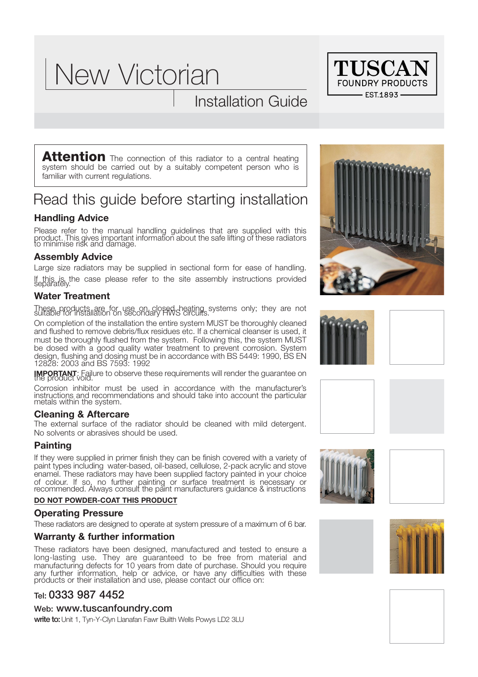# New Victorian

# Installation Guide



**Attention** The connection of this radiator to a central heating system should be carried out by a suitably competent person who is familiar with current regulations.

# Read this guide before starting installation

## **Handling Advice**

Please refer to the manual handling guidelines that are supplied with this product. This gives important information about the safe lifting of these radiators to minimise risk and damage.

#### **Assembly Advice**

Large size radiators may be supplied in sectional form for ease of handling. If this is the case please refer to the site assembly instructions provided separately.

## **Water Treatment**

These products are for use on closed heating systems only; they are not suitable for installation on secondary HWS circuits.

On completion of the installation the entire system MUST be thoroughly cleaned and flushed to remove debris/flux residues etc. If a chemical cleanser is used, it must be thoroughly flushed from the system. Following this, the system MUST be dosed with a good quality water treatment to prevent corrosion. System design, flushing and dosing must be in accordance with BS 5449: 1990, BS EN 12828: 2003 and BS 7593: 1992

**IMPORTANT**: Failure to observe these requirements will render the guarantee on the product void.

Corrosion inhibitor must be used in accordance with the manufacturer's instructions and recommendations and should take into account the particular metals within the system.

#### **Cleaning & Aftercare**

The external surface of the radiator should be cleaned with mild detergent. No solvents or abrasives should be used.

#### **Painting**

If they were supplied in primer finish they can be finish covered with a variety of paint types including water-based, oil-based, cellulose, 2-pack acrylic and stove enamel. These radiators may have been supplied factory painted in your choice of colour. If so, no further painting or surface treatment is necessary or recommended. Always consult the paint manufacturers guidance & instructions

#### **DO NOT POWDER-COAT THIS PRODUCT**

#### **Operating Pressure**

These radiators are designed to operate at system pressure of a maximum of 6 bar.

## **Warranty & further information**

These radiators have been designed, manufactured and tested to ensure a long-lasting use. They are guaranteed to be free from material and manufacturing defects for 10 years from date of purchase. Should you require any further information, help or advice, or have any difficulties with these próducts or their installation and use, please contact our office on:

# **Tel: 0**333 987 4452

#### **Web:** www.tuscanfoundry.com

**write to:**Unit 1, Tyn-Y-Clyn Llanafan Fawr Builth Wells Powys LD2 3LU